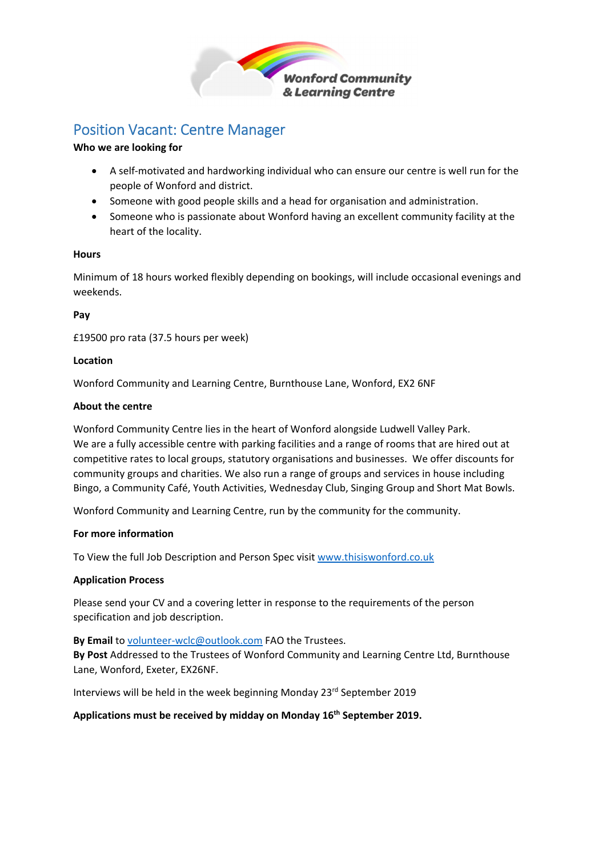

## Position Vacant: Centre Manager

### **Who we are looking for**

- A self‐motivated and hardworking individual who can ensure our centre is well run for the people of Wonford and district.
- Someone with good people skills and a head for organisation and administration.
- Someone who is passionate about Wonford having an excellent community facility at the heart of the locality.

### **Hours**

Minimum of 18 hours worked flexibly depending on bookings, will include occasional evenings and weekends.

### **Pay**

£19500 pro rata (37.5 hours per week)

### **Location**

Wonford Community and Learning Centre, Burnthouse Lane, Wonford, EX2 6NF

### **About the centre**

Wonford Community Centre lies in the heart of Wonford alongside Ludwell Valley Park. We are a fully accessible centre with parking facilities and a range of rooms that are hired out at competitive rates to local groups, statutory organisations and businesses. We offer discounts for community groups and charities. We also run a range of groups and services in house including Bingo, a Community Café, Youth Activities, Wednesday Club, Singing Group and Short Mat Bowls.

Wonford Community and Learning Centre, run by the community for the community.

### **For more information**

To View the full Job Description and Person Spec visit www.thisiswonford.co.uk

#### **Application Process**

Please send your CV and a covering letter in response to the requirements of the person specification and job description.

**By Email** to volunteer‐wclc@outlook.com FAO the Trustees.

**By Post** Addressed to the Trustees of Wonford Community and Learning Centre Ltd, Burnthouse Lane, Wonford, Exeter, EX26NF.

Interviews will be held in the week beginning Monday 23rd September 2019

### **Applications must be received by midday on Monday 16th September 2019.**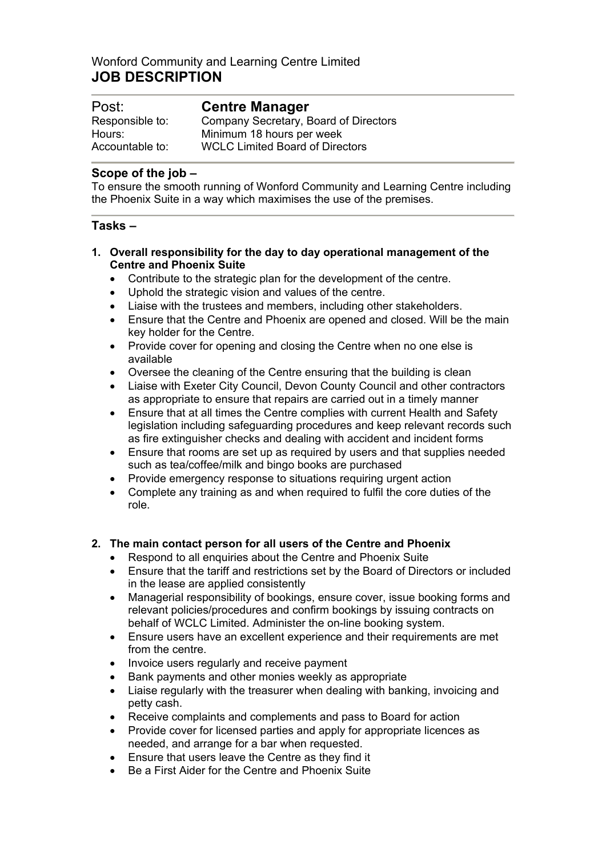### Wonford Community and Learning Centre Limited **JOB DESCRIPTION**

| Post:           | <b>Centre Manager</b>                  |  |
|-----------------|----------------------------------------|--|
| Responsible to: | Company Secretary, Board of Directors  |  |
| Hours:          | Minimum 18 hours per week              |  |
| Accountable to: | <b>WCLC Limited Board of Directors</b> |  |

### **Scope of the job –**

To ensure the smooth running of Wonford Community and Learning Centre including the Phoenix Suite in a way which maximises the use of the premises.

### **Tasks –**

#### **1. Overall responsibility for the day to day operational management of the Centre and Phoenix Suite**

- Contribute to the strategic plan for the development of the centre.
- Uphold the strategic vision and values of the centre.
- Liaise with the trustees and members, including other stakeholders.
- Ensure that the Centre and Phoenix are opened and closed. Will be the main key holder for the Centre.
- Provide cover for opening and closing the Centre when no one else is available
- Oversee the cleaning of the Centre ensuring that the building is clean
- Liaise with Exeter City Council, Devon County Council and other contractors as appropriate to ensure that repairs are carried out in a timely manner
- Ensure that at all times the Centre complies with current Health and Safety legislation including safeguarding procedures and keep relevant records such as fire extinguisher checks and dealing with accident and incident forms
- Ensure that rooms are set up as required by users and that supplies needed such as tea/coffee/milk and bingo books are purchased
- Provide emergency response to situations requiring urgent action
- Complete any training as and when required to fulfil the core duties of the role.

### **2. The main contact person for all users of the Centre and Phoenix**

- Respond to all enquiries about the Centre and Phoenix Suite
- Ensure that the tariff and restrictions set by the Board of Directors or included in the lease are applied consistently
- Managerial responsibility of bookings, ensure cover, issue booking forms and relevant policies/procedures and confirm bookings by issuing contracts on behalf of WCLC Limited. Administer the on-line booking system.
- Ensure users have an excellent experience and their requirements are met from the centre.
- Invoice users regularly and receive payment
- Bank payments and other monies weekly as appropriate
- Liaise regularly with the treasurer when dealing with banking, invoicing and petty cash.
- Receive complaints and complements and pass to Board for action
- Provide cover for licensed parties and apply for appropriate licences as needed, and arrange for a bar when requested.
- Ensure that users leave the Centre as they find it
- Be a First Aider for the Centre and Phoenix Suite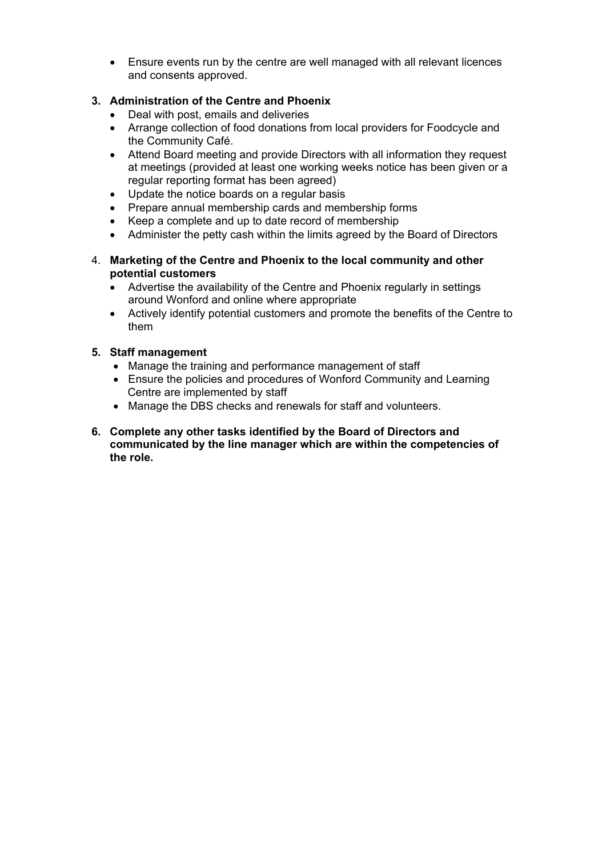Ensure events run by the centre are well managed with all relevant licences and consents approved.

### **3. Administration of the Centre and Phoenix**

- Deal with post, emails and deliveries
- Arrange collection of food donations from local providers for Foodcycle and the Community Café.
- Attend Board meeting and provide Directors with all information they request at meetings (provided at least one working weeks notice has been given or a regular reporting format has been agreed)
- Update the notice boards on a regular basis
- Prepare annual membership cards and membership forms
- Keep a complete and up to date record of membership
- Administer the petty cash within the limits agreed by the Board of Directors
- 4. **Marketing of the Centre and Phoenix to the local community and other potential customers**
	- Advertise the availability of the Centre and Phoenix regularly in settings around Wonford and online where appropriate
	- Actively identify potential customers and promote the benefits of the Centre to them

### **5. Staff management**

- Manage the training and performance management of staff
- Ensure the policies and procedures of Wonford Community and Learning Centre are implemented by staff
- Manage the DBS checks and renewals for staff and volunteers.
- **6. Complete any other tasks identified by the Board of Directors and communicated by the line manager which are within the competencies of the role.**